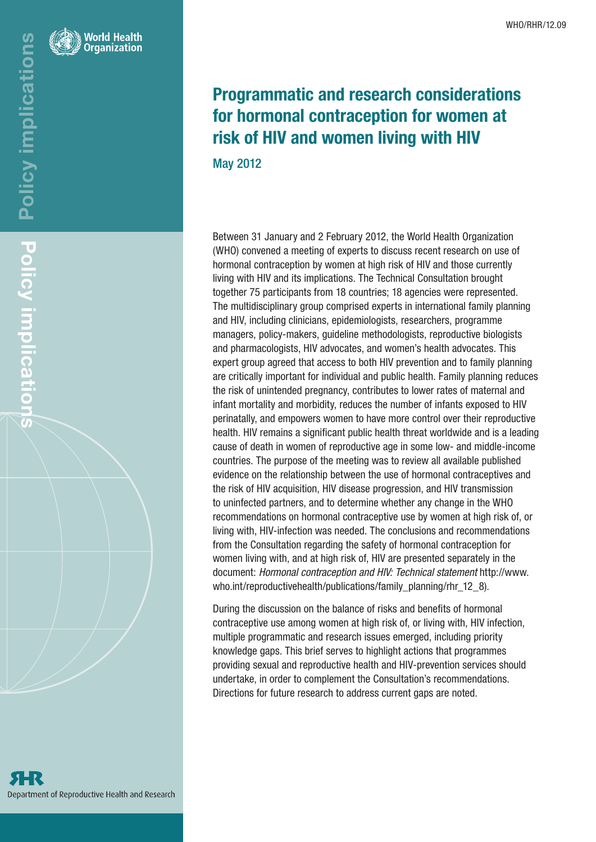

# Programmatic and research considerations for hormonal contraception for women at risk of HIV and women living with HIV

May 2012

Between 31 January and 2 February 2012, the World Health Organization (WHO) convened a meeting of experts to discuss recent research on use of hormonal contraception by women at high risk of HIV and those currently living with HIV and its implications. The Technical Consultation brought together 75 participants from 18 countries; 18 agencies were represented. The multidisciplinary group comprised experts in international family planning and HIV, including clinicians, epidemiologists, researchers, programme managers, policy-makers, guideline methodologists, reproductive biologists and pharmacologists, HIV advocates, and women's health advocates. This expert group agreed that access to both HIV prevention and to family planning are critically important for individual and public health. Family planning reduces the risk of unintended pregnancy, contributes to lower rates of maternal and infant mortality and morbidity, reduces the number of infants exposed to HIV perinatally, and empowers women to have more control over their reproductive health. HIV remains a significant public health threat worldwide and is a leading cause of death in women of reproductive age in some low- and middle-income countries. The purpose of the meeting was to review all available published evidence on the relationship between the use of hormonal contraceptives and the risk of HIV acquisition, HIV disease progression, and HIV transmission to uninfected partners, and to determine whether any change in the WHO recommendations on hormonal contraceptive use by women at high risk of, or living with, HIV-infection was needed. The conclusions and recommendations from the Consultation regarding the safety of hormonal contraception for women living with, and at high risk of, HIV are presented separately in the document: *Hormonal contraception and HIV: Technical statement* http://www. who.int/reproductivehealth/publications/family\_planning/rhr\_12\_8).

During the discussion on the balance of risks and benefits of hormonal contraceptive use among women at high risk of, or living with, HIV infection, multiple programmatic and research issues emerged, including priority knowledge gaps. This brief serves to highlight actions that programmes providing sexual and reproductive health and HIV-prevention services should undertake, in order to complement the Consultation's recommendations. Directions for future research to address current gaps are noted.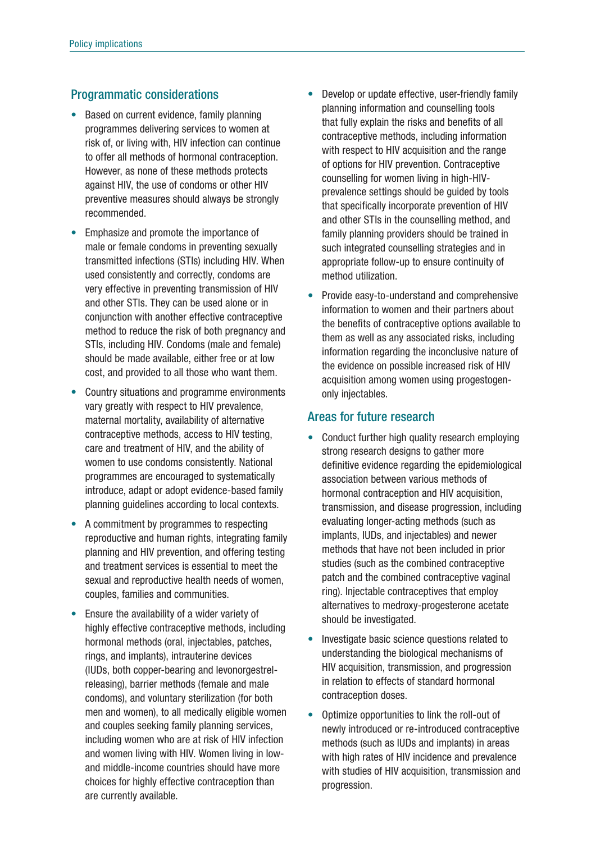## Programmatic considerations

- Based on current evidence, family planning programmes delivering services to women at risk of, or living with, HIV infection can continue to offer all methods of hormonal contraception. However, as none of these methods protects against HIV, the use of condoms or other HIV preventive measures should always be strongly recommended.
- Emphasize and promote the importance of male or female condoms in preventing sexually transmitted infections (STIs) including HIV. When used consistently and correctly, condoms are very effective in preventing transmission of HIV and other STIs. They can be used alone or in conjunction with another effective contraceptive method to reduce the risk of both pregnancy and STIs, including HIV. Condoms (male and female) should be made available, either free or at low cost, and provided to all those who want them.
- Country situations and programme environments vary greatly with respect to HIV prevalence, maternal mortality, availability of alternative contraceptive methods, access to HIV testing, care and treatment of HIV, and the ability of women to use condoms consistently. National programmes are encouraged to systematically introduce, adapt or adopt evidence-based family planning guidelines according to local contexts.
- A commitment by programmes to respecting reproductive and human rights, integrating family planning and HIV prevention, and offering testing and treatment services is essential to meet the sexual and reproductive health needs of women, couples, families and communities.
- Ensure the availability of a wider variety of highly effective contraceptive methods, including hormonal methods (oral, injectables, patches, rings, and implants), intrauterine devices (IUDs, both copper-bearing and levonorgestrelreleasing), barrier methods (female and male condoms), and voluntary sterilization (for both men and women), to all medically eligible women and couples seeking family planning services, including women who are at risk of HIV infection and women living with HIV. Women living in lowand middle-income countries should have more choices for highly effective contraception than are currently available.
- Develop or update effective, user-friendly family planning information and counselling tools that fully explain the risks and benefits of all contraceptive methods, including information with respect to HIV acquisition and the range of options for HIV prevention. Contraceptive counselling for women living in high-HIVprevalence settings should be guided by tools that specifically incorporate prevention of HIV and other STIs in the counselling method, and family planning providers should be trained in such integrated counselling strategies and in appropriate follow-up to ensure continuity of method utilization.
- Provide easy-to-understand and comprehensive information to women and their partners about the benefits of contraceptive options available to them as well as any associated risks, including information regarding the inconclusive nature of the evidence on possible increased risk of HIV acquisition among women using progestogenonly injectables.

## Areas for future research

- Conduct further high quality research employing strong research designs to gather more definitive evidence regarding the epidemiological association between various methods of hormonal contraception and HIV acquisition, transmission, and disease progression, including evaluating longer-acting methods (such as implants, IUDs, and injectables) and newer methods that have not been included in prior studies (such as the combined contraceptive patch and the combined contraceptive vaginal ring). Injectable contraceptives that employ alternatives to medroxy-progesterone acetate should be investigated.
- Investigate basic science questions related to understanding the biological mechanisms of HIV acquisition, transmission, and progression in relation to effects of standard hormonal contraception doses.
- • Optimize opportunities to link the roll-out of newly introduced or re-introduced contraceptive methods (such as IUDs and implants) in areas with high rates of HIV incidence and prevalence with studies of HIV acquisition, transmission and progression.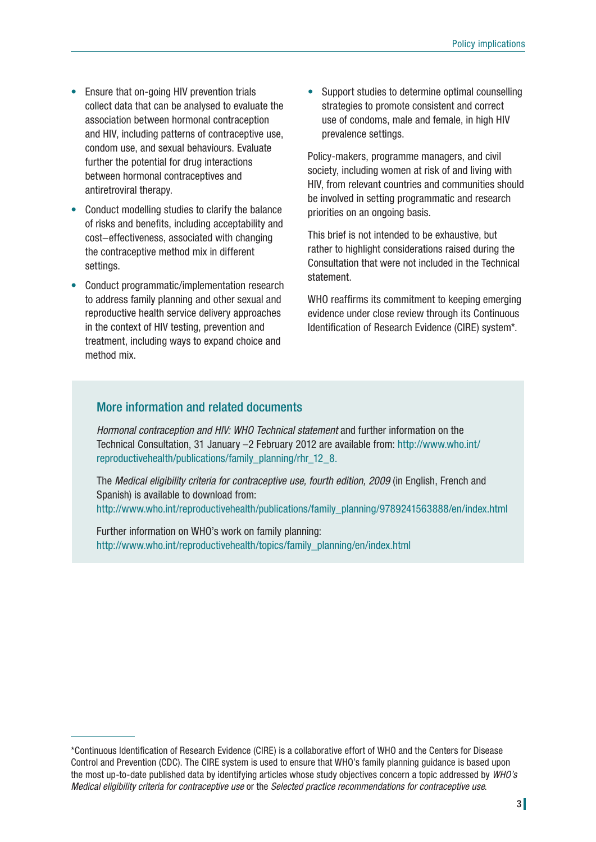- Ensure that on-going HIV prevention trials collect data that can be analysed to evaluate the association between hormonal contraception and HIV, including patterns of contraceptive use, condom use, and sexual behaviours. Evaluate further the potential for drug interactions between hormonal contraceptives and antiretroviral therapy.
- Conduct modelling studies to clarify the balance of risks and benefits, including acceptability and cost−effectiveness, associated with changing the contraceptive method mix in different settings.
- Conduct programmatic/implementation research to address family planning and other sexual and reproductive health service delivery approaches in the context of HIV testing, prevention and treatment, including ways to expand choice and method mix.

• Support studies to determine optimal counselling strategies to promote consistent and correct use of condoms, male and female, in high HIV prevalence settings.

Policy-makers, programme managers, and civil society, including women at risk of and living with HIV, from relevant countries and communities should be involved in setting programmatic and research priorities on an ongoing basis.

This brief is not intended to be exhaustive, but rather to highlight considerations raised during the Consultation that were not included in the Technical statement.

WHO reaffirms its commitment to keeping emerging evidence under close review through its Continuous Identification of Research Evidence (CIRE) system\*.

## More information and related documents

*Hormonal contraception and HIV: WHO Technical statement* and further information on the Technical Consultation, 31 January –2 February 2012 are available from: http://www.who.int/ reproductivehealth/publications/family\_planning/rhr\_12\_8.

The *Medical eligibility criteria for contraceptive use, fourth edition, 2009* (in English, French and Spanish) is available to download from: http://www.who.int/reproductivehealth/publications/family\_planning/9789241563888/en/index.html

Further information on WHO's work on family planning: http://www.who.int/reproductivehealth/topics/family\_planning/en/index.html

<sup>\*</sup>Continuous Identification of Research Evidence (CIRE) is a collaborative effort of WHO and the Centers for Disease Control and Prevention (CDC). The CIRE system is used to ensure that WHO's family planning guidance is based upon the most up-to-date published data by identifying articles whose study objectives concern a topic addressed by *WHO's Medical eligibility criteria for contraceptive use* or the *Selected practice recommendations for contraceptive use*.